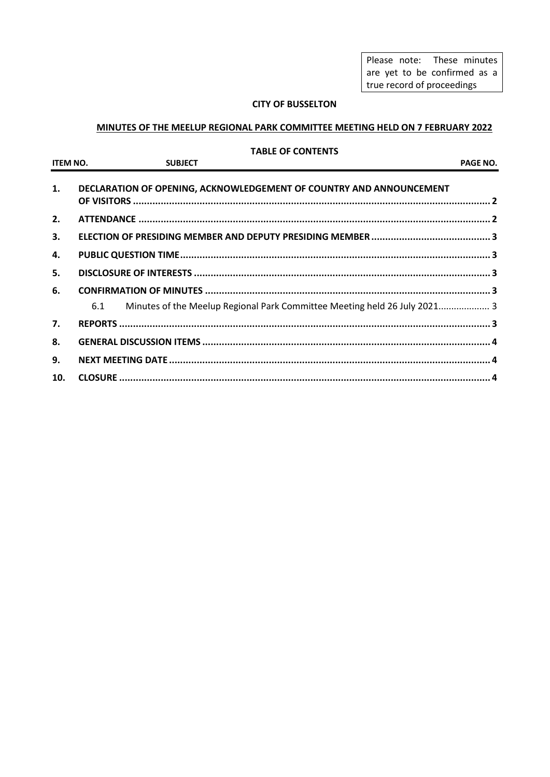Please note: These minutes are yet to be confirmed as a true record of proceedings

## **CITY OF BUSSELTON**

## **MINUTES OF THE MEELUP REGIONAL PARK COMMITTEE MEETING HELD ON 7 FEBRUARY 2022**

#### **TABLE OF CONTENTS**

| <b>ITEM NO.</b> | <b>SUBJECT</b>                                                                   | PAGE NO. |
|-----------------|----------------------------------------------------------------------------------|----------|
| 1.              | DECLARATION OF OPENING, ACKNOWLEDGEMENT OF COUNTRY AND ANNOUNCEMENT              |          |
| 2.              |                                                                                  |          |
| 3.              |                                                                                  |          |
| 4.              |                                                                                  |          |
| 5.              |                                                                                  |          |
| 6.              |                                                                                  |          |
|                 | Minutes of the Meelup Regional Park Committee Meeting held 26 July 2021 3<br>6.1 |          |
| 7.              |                                                                                  |          |
| 8.              |                                                                                  |          |
| 9.              |                                                                                  |          |
| 10.             |                                                                                  |          |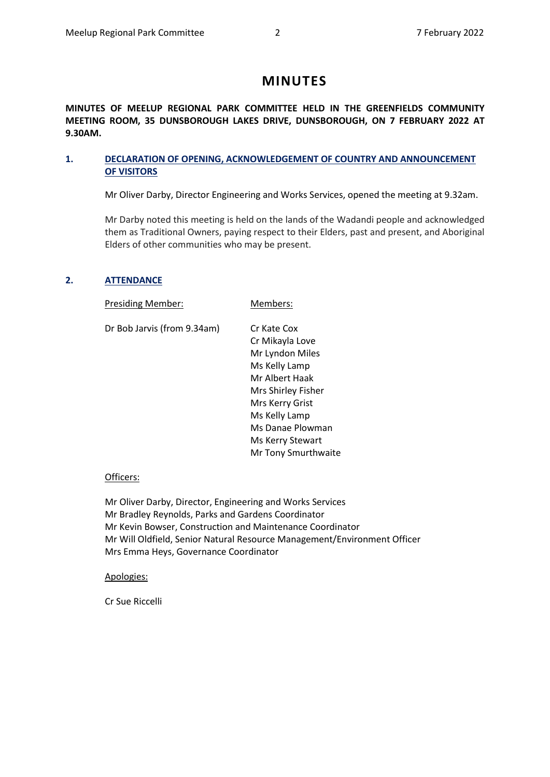# **MINUTES**

**MINUTES OF MEELUP REGIONAL PARK COMMITTEE HELD IN THE GREENFIELDS COMMUNITY MEETING ROOM, 35 DUNSBOROUGH LAKES DRIVE, DUNSBOROUGH, ON 7 FEBRUARY 2022 AT 9.30AM.** 

## <span id="page-1-0"></span>**1. DECLARATION OF OPENING, ACKNOWLEDGEMENT OF COUNTRY AND ANNOUNCEMENT OF VISITORS**

Mr Oliver Darby, Director Engineering and Works Services, opened the meeting at 9.32am.

Mr Darby noted this meeting is held on the lands of the Wadandi people and acknowledged them as Traditional Owners, paying respect to their Elders, past and present, and Aboriginal Elders of other communities who may be present.

## <span id="page-1-1"></span>**2. ATTENDANCE**

Presiding Member: Members:

Dr Bob Jarvis (from 9.34am) Cr Kate Cox

Cr Mikayla Love Mr Lyndon Miles Ms Kelly Lamp Mr Albert Haak Mrs Shirley Fisher Mrs Kerry Grist Ms Kelly Lamp Ms Danae Plowman Ms Kerry Stewart Mr Tony Smurthwaite

## Officers:

Mr Oliver Darby, Director, Engineering and Works Services Mr Bradley Reynolds, Parks and Gardens Coordinator Mr Kevin Bowser, Construction and Maintenance Coordinator Mr Will Oldfield, Senior Natural Resource Management/Environment Officer Mrs Emma Heys, Governance Coordinator

## Apologies:

Cr Sue Riccelli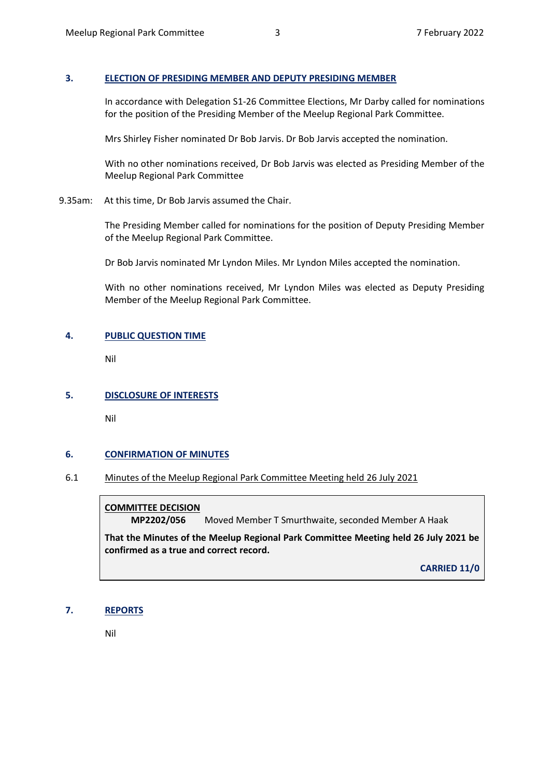## <span id="page-2-0"></span>**3. ELECTION OF PRESIDING MEMBER AND DEPUTY PRESIDING MEMBER**

In accordance with Delegation S1-26 Committee Elections, Mr Darby called for nominations for the position of the Presiding Member of the Meelup Regional Park Committee.

Mrs Shirley Fisher nominated Dr Bob Jarvis. Dr Bob Jarvis accepted the nomination.

With no other nominations received, Dr Bob Jarvis was elected as Presiding Member of the Meelup Regional Park Committee

9.35am: At this time, Dr Bob Jarvis assumed the Chair.

The Presiding Member called for nominations for the position of Deputy Presiding Member of the Meelup Regional Park Committee.

Dr Bob Jarvis nominated Mr Lyndon Miles. Mr Lyndon Miles accepted the nomination.

With no other nominations received, Mr Lyndon Miles was elected as Deputy Presiding Member of the Meelup Regional Park Committee.

#### <span id="page-2-1"></span>**4. PUBLIC QUESTION TIME**

Nil

## <span id="page-2-2"></span>**5. DISCLOSURE OF INTERESTS**

Nil

#### <span id="page-2-3"></span>**6. CONFIRMATION OF MINUTES**

#### <span id="page-2-4"></span>6.1 Minutes of the Meelup Regional Park Committee Meeting held 26 July 2021

## **COMMITTEE DECISION**

**MP2202/056** Moved Member T Smurthwaite, seconded Member A Haak

**That the Minutes of the Meelup Regional Park Committee Meeting held 26 July 2021 be confirmed as a true and correct record.**

**CARRIED 11/0**

#### <span id="page-2-5"></span>**7. REPORTS**

Nil